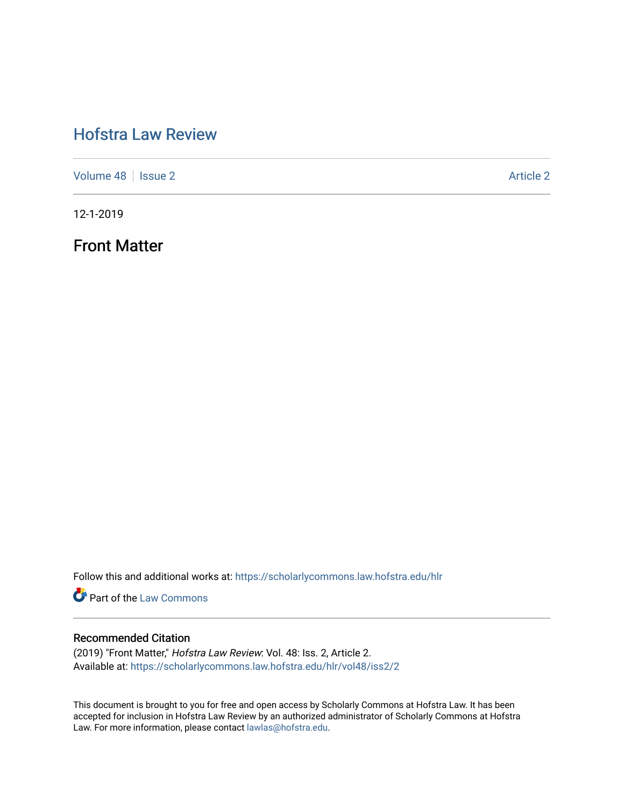### [Hofstra Law Review](https://scholarlycommons.law.hofstra.edu/hlr)

[Volume 48](https://scholarlycommons.law.hofstra.edu/hlr/vol48) | [Issue 2](https://scholarlycommons.law.hofstra.edu/hlr/vol48/iss2) Article 2

12-1-2019

Front Matter

Follow this and additional works at: [https://scholarlycommons.law.hofstra.edu/hlr](https://scholarlycommons.law.hofstra.edu/hlr?utm_source=scholarlycommons.law.hofstra.edu%2Fhlr%2Fvol48%2Fiss2%2F2&utm_medium=PDF&utm_campaign=PDFCoverPages)

**Part of the [Law Commons](http://network.bepress.com/hgg/discipline/578?utm_source=scholarlycommons.law.hofstra.edu%2Fhlr%2Fvol48%2Fiss2%2F2&utm_medium=PDF&utm_campaign=PDFCoverPages)** 

#### Recommended Citation

(2019) "Front Matter," Hofstra Law Review: Vol. 48: Iss. 2, Article 2. Available at: [https://scholarlycommons.law.hofstra.edu/hlr/vol48/iss2/2](https://scholarlycommons.law.hofstra.edu/hlr/vol48/iss2/2?utm_source=scholarlycommons.law.hofstra.edu%2Fhlr%2Fvol48%2Fiss2%2F2&utm_medium=PDF&utm_campaign=PDFCoverPages)

This document is brought to you for free and open access by Scholarly Commons at Hofstra Law. It has been accepted for inclusion in Hofstra Law Review by an authorized administrator of Scholarly Commons at Hofstra Law. For more information, please contact [lawlas@hofstra.edu.](mailto:lawlas@hofstra.edu)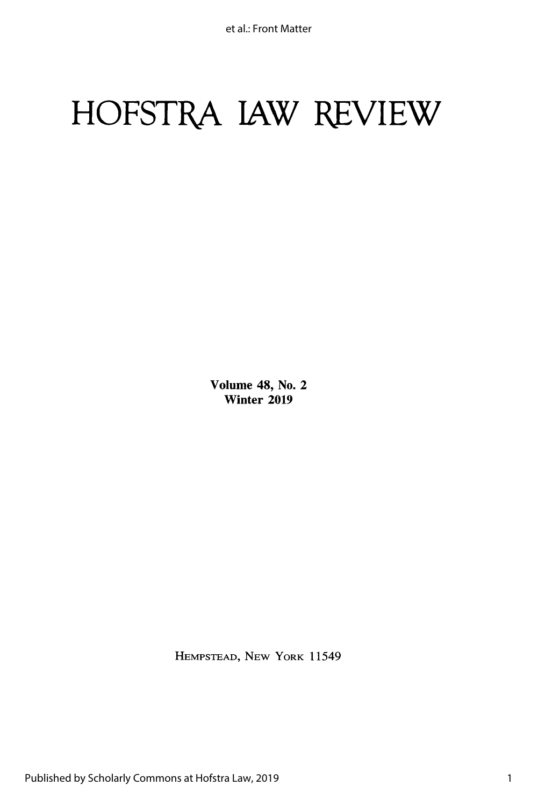# HOFSTRA IAW REVIEW

Volume 48, No. 2 Winter **2019**

**HEMPSTEAD, NEW** YORK 11549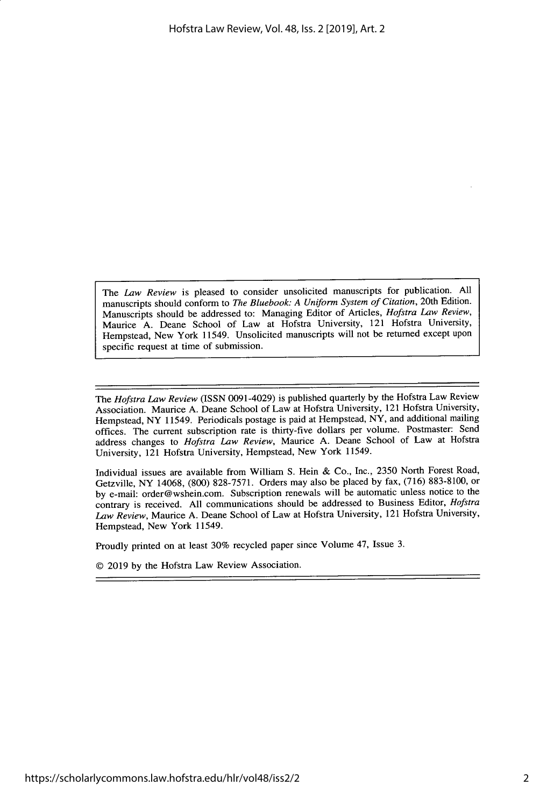The *Law Review* is pleased to consider unsolicited manuscripts for publication. **All** manuscripts should conform to *The Bluebook: A Uniform System of Citation,* 20th Edition. Manuscripts should be addressed to: Managing Editor of Articles, *Hofstra Law Review,* Maurice **A.** Deane School of Law at Hofstra University, 121 Hofstra University, Hempstead, New York 11549. Unsolicited manuscripts will not be returned except upon specific request at time of submission.

*The Hofstra Law Review* **(ISSN** 0091-4029) is published quarterly **by** the Hofstra Law Review Association. Maurice **A.** Deane School of Law at Hofstra University, 121 Hofstra University, Hempstead, NY 11549. Periodicals postage is paid at Hempstead, NY, and additional mailing offices. The current subscription rate is thirty-five dollars per volume. Postmaster: Send address changes to *Hofstra Law Review,* Maurice **A.** Deane School of Law at Hofstra University, 121 Hofstra University, Hempstead, New York 11549.

Individual issues are available from William **S.** Hein **&** Co., Inc., **2350** North Forest Road, Getzville, NY 14068, **(800) 828-7571.** Orders may also be placed **by** fax, **(716) 883-8100,** or **by** e-mail: order@wshein.com. Subscription renewals will be automatic unless notice to the contrary is received. **All** communications should be addressed to Business Editor, *Hofstra Law Review,* Maurice **A.** Deane School of Law at Hofstra University, 121 Hofstra University, Hempstead, New York 11549.

Proudly printed on at least **30%** recycled paper since Volume 47, Issue **3.**

@ **2019 by** the Hofstra Law Review Association.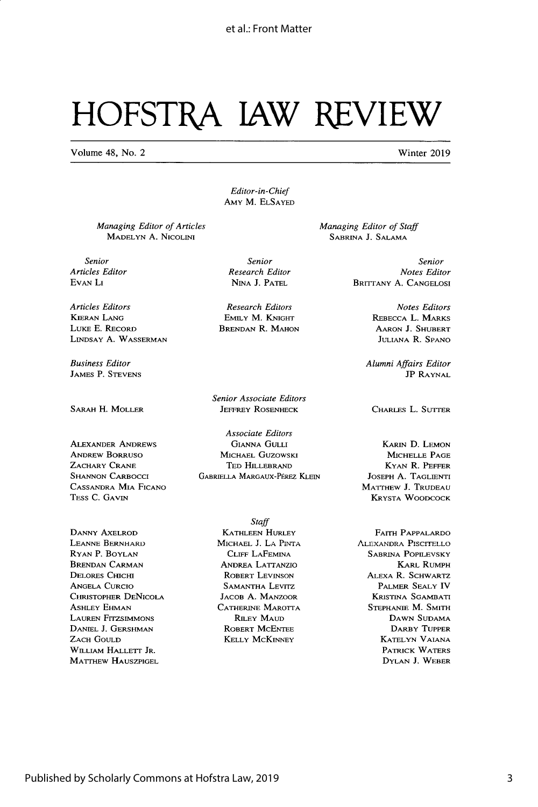# HOFSTRA IAW REVIEW

Volume 48, No. 2 Winter **2019**

*Editor-in-Chief* AMY M. **ELSAYED**

*Managing Editor of Articles* **MADELYN A. NICOLINI** 

*Senior Articles Editor* EVAN Li

*Articles Editors* KIERAN **LANG** LUKE **E.** RECORD **LINDSAY A. WASSERMAN**

*Business Editor* **JAMES** P. **STEVENS**

SARAH H. MOLLER

ALEXANDER ANDREWS ANDREw BORRUSO ZACHARY **CRANE SHANNON CARBOCCI CASSANDRA** MIA **FICANO** TESS **C. GAVIN**

**DANNY** AXELROD **LEANNE** BERNHARD RYAN P. BOYLAN **BRENDAN CARMAN** DELORES CHICHI **ANGELA CURCIO CHRISTOPHER** DENICOLA **ASHLEY EHMAN LAUREN** FrrzsMMONS **DANIEL J. GERSHMAN** ZACH GOULD WILLIAM **HALLETr** JR. MATTHEw **HAUSZPIGEL**

*Senior Research Editor* NINA **J.** PATEL

*Research Editors* EMILY M. KNIGHT **BRENDAN** R. **MAHON**

*Senior Associate Editors* **JEFFREY** ROSENHECK

*Associate Editors* **GIANNA** GULLI **MICHAEL** GuzowsKi **TED** HILLEBRAND GABRIELLA MARGAUX-PÉREZ KLEIN

> *Staff* **KATHLEEN** HURLEY **MICHAEL J. LA PINTA** CUFF **LAFEMINA ANDREA** LATTANZIO ROBERT **LEVINSON SAMANTHA** LEvrrz **JACOB A.** MANZOOR **CATHERINE** MAROTTA RILEY MAUD ROBERT McENTEE KELLY McKINNEY

*Managing Editor of Staff* **SABRINA J. SALAMA**

> *Senior Notes Editor* BRITTANY **A. CANGELOSI**

> > *Notes Editors* REBECCA L. MARKS **AARON J.** SHUBERT **JULIANA** R. SPANo

*Alumni Affairs Editor* **JP** RAYNAL

CHARLEs L. **SUrrER**

KARIN **D.** LEMON **MICHELLE PAGE KYAN** R. PEFFER **JOSEPH A.** TAGLIENTI MATTHEW **J. TRUDEAU** KRYSTA WOODCOCK

FAITH PAPPALARDO ALEXANDRA **PISCITELLO SABRINA** POPILEVSKY KARL RUMPH **ALEXA** R. SCHWARTZ PALMER **SEALY** IV KRISTINA SGAMBATI **STEPHANIE** M. SMITH **DAWN SUDAMA** DARBY TUPPER **KATELYN** VAIANA PATRICK WATERS **DYLAN J.** WEBER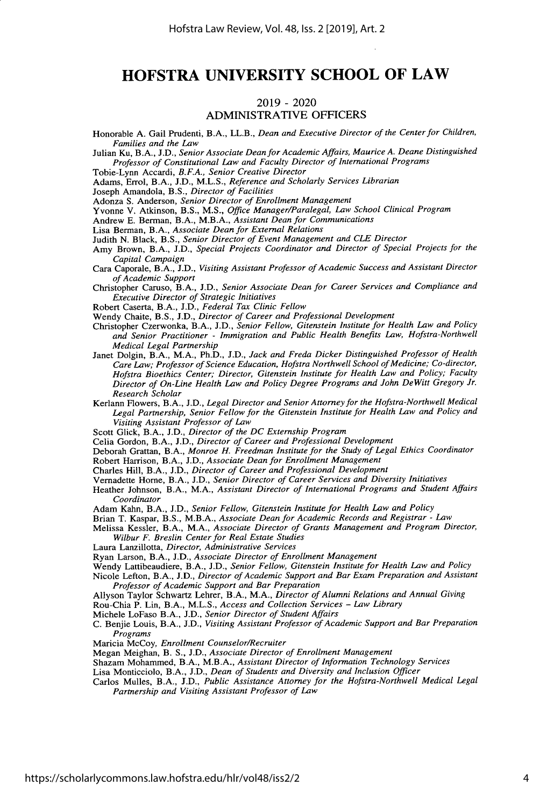### **HOFSTRA UNIVERSITY SCHOOL OF LAW**

#### **2019-** 2020

#### ADMINISTRATIVE OFFICERS

Honorable **A.** Gail Prudenti, B.A., LL.B., *Dean and Executive Director of the Centerfor Children, Families and the Law*

Julian Ku, B.A., **J.D.,** *SeniorAssociate Dean for Academic Affairs, MauriceA. Deane Distinguished Professor of Constitutional Law and Faculty Director of International Programs*

Tobie-Lynn Accardi, *B.F.A., Senior Creative Director*

Adams, Errol, B.A., **J.D., M.L.S.,** *Reference and Scholarly Services Librarian*

Joseph Amandola, B.S., *Director of Facilities*

Adonza **S.** Anderson, *Senior Director of Enrollment Management*

Yvonne V. Atkinson, B.S., **M.S.,** *Office Manager/Paralegal, Law School Clinical Program*

Andrew **E.** Berman, B.A., M.B.A., *Assistant Dean for Communications*

Lisa Berman, B.A., *Associate Dean for External Relations*

Judith **N.** Black, B.S., *Senior Director of Event Management and CLE Director*

Amy Brown, B.A., **J.D.,** *Special Projects Coordinator and Director of Special Projects for the Capital Campaign*

- Cara Caporale, B.A., **J.D.,** *Visiting Assistant Professor of Academic Success and Assistant Director of Academic Support*
- Christopher Caruso, B.A., **J.D.,** *Senior Associate Dean for Career Services and Compliance and Executive Director of Strategic Initiatives*

Robert Caserta, B.A., **J.D.,** *Federal Tax Clinic Fellow*

Wendy Chaite, B.S., **J.D.,** *Director of Career and Professional Development*

- Christopher Czerwonka, B.A., **J.D.,** *Senior Fellow, Gitenstein Institute for Health Law and Policy and Senior Practitioner* **-** *Immigration and Public Health Benefits Law, Hofstra-Northwell Medical Legal Partnership*
- Janet Dolgin, B.A., M.A., Ph.D., **J.D.,** *Jack and Freda Dicker Distinguished Professor of Health Care Law; Professor of Science Education, Hofstra Northwell School of Medicine; Co-director, Hofstra Bioethics Center; Director, Gitenstein Institute for Health Law and Policy; Faculty Director of On-Line Health Law and Policy Degree Programs and John DeWitt Gregory Jr. Research Scholar*
- Kerlann Flowers, B.A., **J.D.,** *Legal Director and Senior Attorney for the Hofstra-Northwell Medical* Legal Partnership, Senior Fellow for the Gitenstein Institute for Health Law and Policy and *Visiting Assistant Professor of Law*
- Scott Glick, B.A., **J.D.,** *Director of the DC Externship Program*

Celia Gordon, B.A., **J.D.,** *Director of Career and Professional Development*

Deborah Grattan, B.A., *Monroe H. Freedman Institute for the Study of Legal Ethics Coordinator*

Robert Harrison, B.A., **J.D.,** *Associate Dean for Enrollment Management*

Charles Hill, B.A., **J.D.,** *Director of Career and Professional Development*

- Vernadette Horne, B.A., **J.D.,** *Senior Director of Career Services and Diversity Initiatives*
- Heather Johnson, B.A., M.A., *Assistant Director of International Programs and Student Affairs Coordinator*
- Adam Kahn, B.A., **J.D.,** *Senior Fellow, Gitenstein Institute for Health Law and Policy*
- Brian T. Kaspar, B.S., M.B.A., *Associate Dean for Academic Records and Registrar* **-** *Law*
- Melissa Kessler, B.A., M.A., *Associate Director of Grants Management and Program Director, Wilbur F. Breslin Center for Real Estate Studies*
- Laura Lanzillotta, *Director, Administrative Services*

Ryan Larson, B.A., **J.D.,** *Associate Director of Enrollment Management*

Wendy Lattibeaudiere, B.A., **J.D.,** *Senior Fellow, Gitenstein Institute for Health Law and Policy*

Nicole Lefton, B.A., J.D., *Director of Academic Support and Bar Exam Preparation and Assistant Professor of Academic Support and Bar Preparation*

Allyson Taylor Schwartz Lehrer, B.A., M.A., *Director of Alumni Relations and Annual Giving*

Rou-Chia P. Lin, B.A., **M.L.S.,** *Access and Collection Services* **-** *Law Library*

Michele LoFaso B.A., **J.D.,** *Senior Director of Student Affairs*

**C.** Benjie Louis, B.A., **J.D.,** *Visiting Assistant Professor of Academic Support and Bar Preparation Programs*

Maricia McCoy, *Enrollment Counselor/Recruiter*

Megan Meighan, B. **S., J.D.,** *Associate Director of Enrollment Management*

Shazam Mohammed, B.A., M.B.A., *Assistant Director of Information Technology Services*

Lisa Monticciolo, B.A., **J.D.,** *Dean of Students and Diversity and Inclusion Officer*

Carlos Mulles, B.A., **J.D.,** *Public Assistance Attorney for the Hofstra-Northwell Medical Legal Partnership and Visiting Assistant Professor of Law*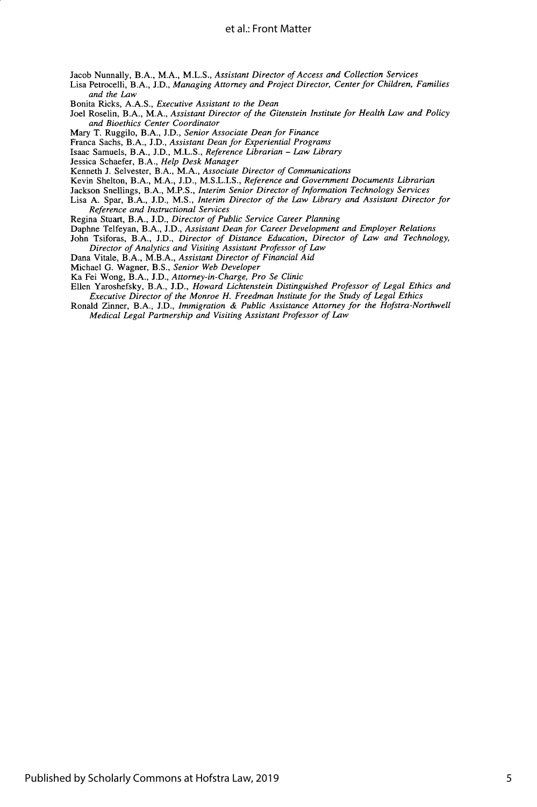Jacob Nunnally, B.A., M.A., M.L.S., *Assistant Director of Access and Collection Services* 

Lisa Petrocelli, B.A., **J.D.,** *Managing Attorney and Project Director, Centerfor Children, Families and the Law*

Bonita Ricks, **A.A.S.,** *Executive Assistant to the Dean*

Joel Roselin, B.A., M.A., *Assistant Director of the Gitenstein Institute for Health Law and Policy and Bioethics Center Coordinator*

Mary T. Ruggilo, B.A., **J.D.,** *Senior Associate Dean for Finance*

Franca Sachs, B.A., **J.D.,** *Assistant Dean for Experiential Programs*

Isaac Samuels, B.A., **J.D., M.L.S.,** *Reference Librarian* **-** *Law Library*

Jessica Schaefer, B.A., *Help Desk Manager*

Kenneth **J.** Selvester, B.A., M.A., *Associate Director of Communications*

Kevin Shelton, B.A., M.A., **J.D.,** M.S.L.I.S., *Reference and Government Documents Librarian*

Jackson Snellings, B.A., M.P.S., *Interim Senior Director of Information Technology Services*

Lisa **A.** Spar, B.A., **J.D., M.S.,** *Interim Director of the Law Library and Assistant Director for Reference and Instructional Services*

Regina Stuart, B.A., **J.D.,** *Director of Public Service Career Planning*

Daphne Telfeyan, B.A., **J.D.,** *Assistant Dean for Career Development and Employer Relations*

John Tsiforas, B.A., **J.D.,** *Director of Distance Education, Director of Law and Technology, Director of Analytics and Visiting Assistant Professor of Law*

Dana Vitale, B.A., M.B.A., *Assistant Director of Financial Aid*

Michael **G.** Wagner, B.S., *Senior Web Developer*

Ka Fei Wong, B.A., **J.D.,** *Attorney-in-Charge, Pro Se Clinic*

Ellen Yaroshefsky, B.A., **J.D.,** *Howard Lichtenstein Distinguished Professor of Legal Ethics and Executive Director of the Monroe H. Freedman Institute for the Study of Legal Ethics*

Ronald Zinner, B.A., **J.D.,** *Immigration & Public Assistance Attorney for the Hofstra-Northwell Medical Legal Partnership and Visiting Assistant Professor of Law*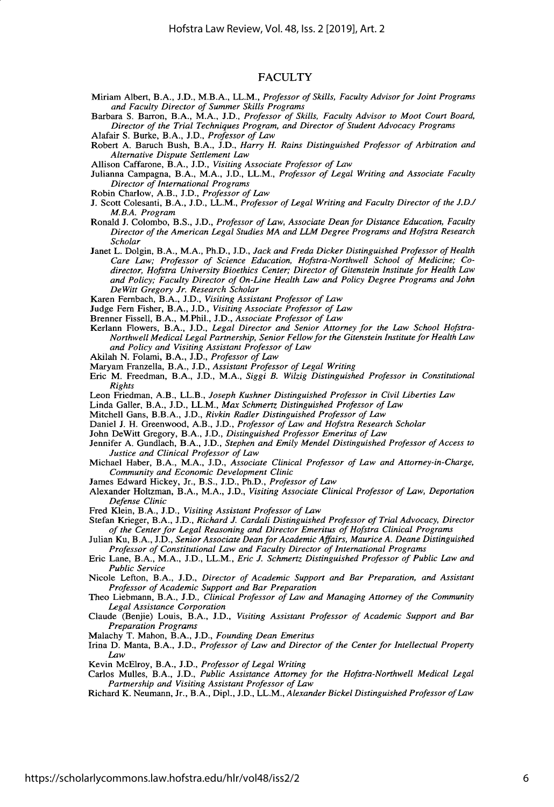#### **FACULTY**

- Miriam Albert, B.A., **J.D.,** M.B.A., LL.M., *Professor of Skills, Faculty Advisor for Joint Programs and Faculty Director of Summer Skills Programs*
- Barbara **S.** Barron, B.A., M.A., **J.D.,** *Professor of Skills, Faculty Advisor to Moot Court Board, Director of the Trial Techniques Program, and Director of Student Advocacy Programs*
- Alafair **S.** Burke, B.A., **J.D.,** *Professor of Law*
- Robert **A.** Baruch Bush, B.A., **J.D.,** *Harry H. Rains Distinguished Professor of Arbitration and Alternative Dispute Settlement Law*
- Allison Caffarone, B.A., **J.D.,** *Visiting Associate Professor of Law*
- Julianna Campagna, B.A., M.A., **J.D.,** LL.M., *Professor of Legal Writing and Associate Faculty Director of International Programs*
- Robin Charlow, A.B., **J.D.,** *Professor of Law*
- **J.** Scott Colesanti, B.A., **J.D.,** LL.M., *Professor of Legal Writing and Faculty Director of the J.D./ M.B.A. Program*
- Ronald **J.** Colombo, **B.S., J.D.,** *Professor of Law, Associate Dean for Distance Education, Faculty Director of the American Legal Studies MA and LLM Degree Programs and Hofstra Research Scholar*
- Janet L. Dolgin, B.A., M.A., Ph.D., **J.D.,** *Jack and Freda Dicker Distinguished Professor of Health Care Law; Professor of Science Education, Hofstra-Northwell School of Medicine; Codirector, Hofstra University Bioethics Center; Director of Gitenstein Institute for Health Law and Policy; Faculty Director of On-Line Health Law and Policy Degree Programs and John DeWitt Gregory Jr. Research Scholar*
- Karen Fernbach, B.A., **J.D.,** *Visiting Assistant Professor of Law*
- Judge Fern Fisher, B.A., **J.D.,** *Visiting Associate Professor of Law*
- Brenner Fissell, B.A., M.Phil., **J.D.,** *Associate Professor of Law*
- Kerlann Flowers, B.A., **J.D.,** *Legal Director and Senior Attorney for the Law School Hofstra-Northwell Medical Legal Partnership, Senior Fellowfor the Gitenstein Institutefor Health Law and Policy and Visiting Assistant Professor of Law*
- Akilah **N.** Folami, B.A., **J.D.,** *Professor of Law*

Maryam Franzella, B.A., **J.D.,** *Assistant Professor of Legal Writing*

- Eric M. Freedman, B.A., **J.D.,** M.A., *Siggi B. Wilzig Distinguished Professor in Constitutional Rights*
- Leon Friedman, A.B., LL.B., *Joseph Kushner Distinguished Professor in Civil Liberties Law*
- Linda Galler, B.A., **J.D.,** LLM., *Max Schmertz Distinguished Professor of Law*
- Mitchell Gans, B.B.A., **J.D.,** *Rivkin Radler Distinguished Professor of Law*
- Daniel J. H. Greenwood, A.B., **J.D.,** *Professor of Law and Hofstra Research Scholar*
- John DeWitt Gregory, B.A., **J.D.,** *Distinguished Professor Emeritus of Law*
- Jennifer A. Gundlach, B.A., J.D., *Stephen and Emily Mendel Distinguished Professor of Access to Justice and Clinical Professor of Law*
- Michael Haber, B.A., M.A., **J.D.,** *Associate Clinical Professor of Law and Attorney-in-Charge, Community and Economic Development Clinic*
- James Edward Hickey, Jr., B.S., **J.D.,** Ph.D., *Professor of Law*
- Alexander Holtzman, B.A., M.A., **J.D.,** *Visiting Associate Clinical Professor of Law, Deportation Defense Clinic*
- Fred Klein, B.A., **J.D.,** *Visiting Assistant Professor of Law*
- Stefan Krieger, B.A., **J.D.,** *Richard J. Cardali Distinguished Professor of Trial Advocacy, Director of the Center for Legal Reasoning and Director Emeritus of Hofstra Clinical Programs*
- Julian Ku, B.A., **J.D.,** *Senior Associate Deanfor Academic Affairs, Maurice A. Deane Distinguished Professor of Constitutional Law and Faculty Director of International Programs*
- Eric Lane, B.A., M.A., **J.D.,** LL.M., *Eric J. Schmertz Distinguished Professor of Public Law and Public Service*
- Nicole Lefton, B.A., **J.D.,** *Director of Academic Support and Bar Preparation, and Assistant Professor of Academic Support and Bar Preparation*
- Theo Liebmann, B.A., **J.D.,** *Clinical Professor of Law and Managing Attorney of the Community Legal Assistance Corporation*
- Claude (Benjie) Louis, B.A., **J.D.,** *Visiting Assistant Professor of Academic Support and Bar Preparation Programs*
- Malachy T. Mahon, B.A., **J.D.,** *Founding Dean Emeritus*
- Irna **D.** Manta, B.A., **J.D.,** *Professor of Law and Director of the Center for Intellectual Property Law*
- Kevin McElroy, B.A., **J.D.,** *Professor of Legal Writing*
- Carlos Mulles, B.A., **J.D.,** *Public Assistance Attorney for the Hofstra-Northwell Medical Legal Partnership and Visiting Assistant Professor of Law*
- Richard K. Neumann, Jr., B.A., Dipl., **J.D.,** LL.M., *Alexander Bickel Distinguished Professor ofLaw*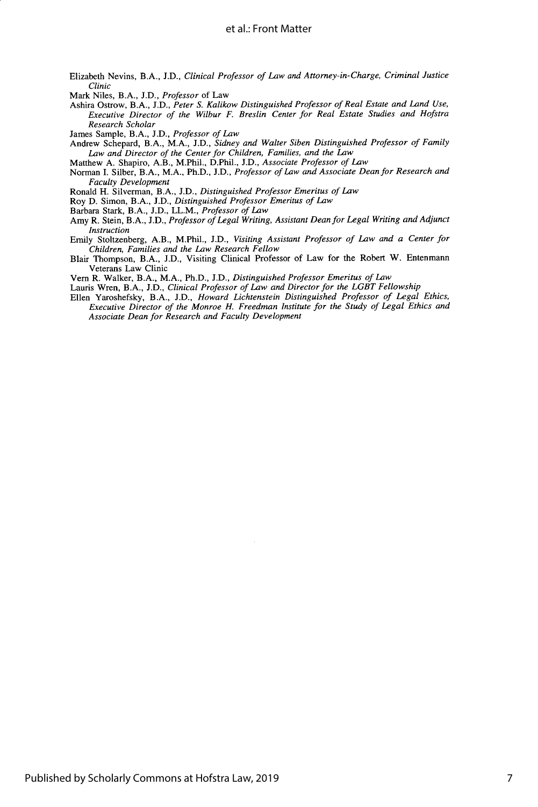Elizabeth Nevins, B.A., **J.D.,** *Clinical Professor of Law and Attorney-in-Charge, Criminal Justice Clinic*

Mark Niles, B.A., **J.D.,** *Professor* of Law

Ashira Ostrow, B.A., **J.D.,** *Peter S. Kalikow Distinguished Professor of Real Estate and land Use, Executive Director of the Wilbur F. Breslin Center for Real Estate Studies and Hofstra Research Scholar*

James Sample, B.A., **J.D.,** *Professor of Law*

Andrew Schepard, B.A., M.A., **J.D.,** *Sidney and Walter Siben Distinguished Professor of Family Law and Director of the Center for Children, Families, and the Law*

Matthew **A.** Shapiro, A.B., M.Phil., D.Phil., **J.D.,** *Associate Professor of Law*

Norman I. Silber, B.A., M.A., Ph.D., **J.D.,** *Professor of Law and Associate Dean for Research and Faculty Development*

Ronald H. Silverman, B.A., **J.D.,** *Distinguished Professor Emeritus of Law*

Roy **D.** Simon, B.A., **J.D.,** *Distinguished Professor Emeritus of Law*

- Barbara Stark, B.A., **J.D.,** LL.M., *Professor of Law*
- Amy R. Stein, B.A., **J.D.,** *Professor of Legal Writing, Assistant Dean for Legal Writing and Adjunct Instruction*
- Emily Stoltzenberg, A.B., M.Phil., **J.D.,** *Visiting Assistant Professor of Law and a Center for Children, Families and the Law Research Fellow*
- Blair Thompson, B.A., **J.D.,** Visiting Clinical Professor of Law for the Robert W. Entenmann Veterans Law Clinic

Vern R. Walker, B.A., M.A., Ph.D., **J.D.,** *Distinguished Professor Emeritus of Law*

- Lauris Wren, B.A., **J.D.,** *Clinical Professor of Law and Director for the LGBT Fellowship*
- Ellen Yaroshefsky, B.A., **J.D.,** *Howard Lichtenstein Distinguished Professor of Legal Ethics, Executive Director of the Monroe H. Freedman Institute for the Study of Legal Ethics and Associate Dean for Research and Faculty Development*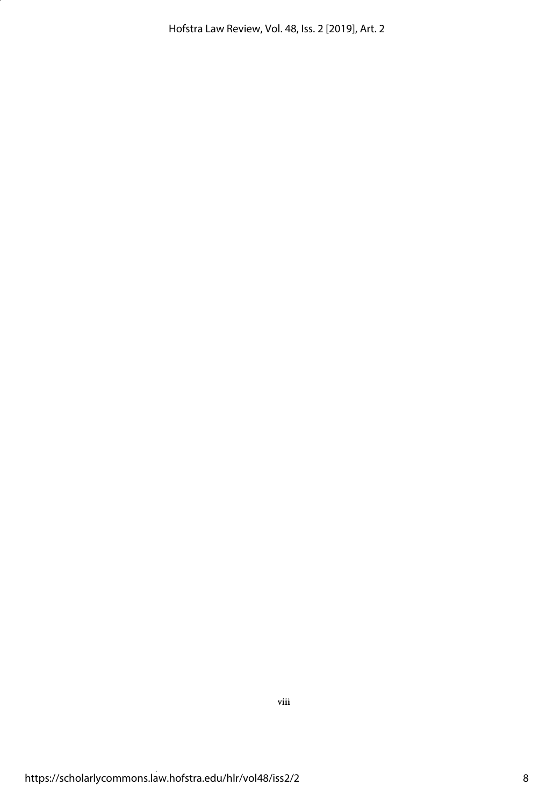Hofstra Law Review, Vol. 48, Iss. 2 [2019], Art. 2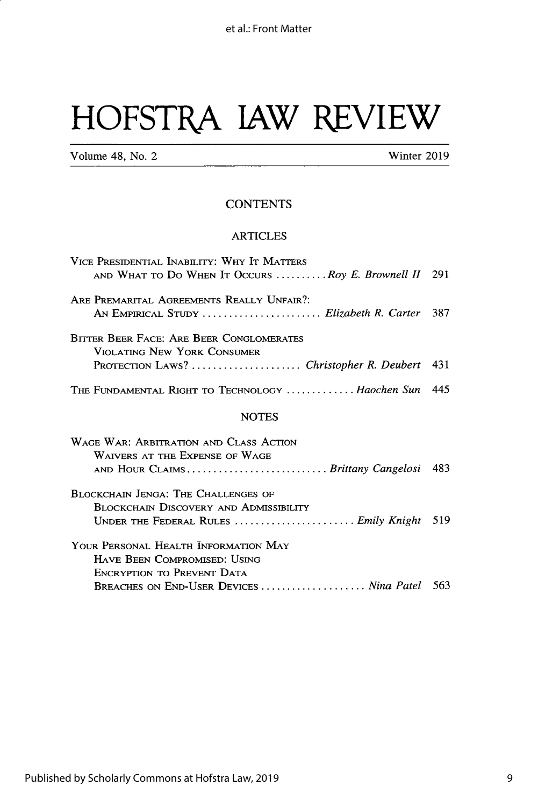### **HOFSTRA** IAW REVIEW

Volume 48, No. 2 Winter **2019**

#### **CONTENTS**

#### **ARTICLES**

| VICE PRESIDENTIAL INABILITY: WHY IT MATTERS<br>AND WHAT TO DO WHEN IT OCCURS $\ldots \ldots \ldots Roy$ E. Brownell II 291 |       |
|----------------------------------------------------------------------------------------------------------------------------|-------|
| ARE PREMARITAL AGREEMENTS REALLY UNFAIR?:<br>AN EMPIRICAL STUDY  Elizabeth R. Carter                                       | - 387 |
| BITTER BEER FACE: ARE BEER CONGLOMERATES<br>VIOLATING NEW YORK CONSUMER                                                    |       |
| PROTECTION LAWS?  Christopher R. Deubert                                                                                   | -431  |
| THE FUNDAMENTAL RIGHT TO TECHNOLOGY  Haochen Sun                                                                           | 445   |
| <b>NOTES</b>                                                                                                               |       |
| WAGE WAR: ARBITRATION AND CLASS ACTION                                                                                     |       |
| WAIVERS AT THE EXPENSE OF WAGE                                                                                             |       |
|                                                                                                                            | - 483 |
| <b>BLOCKCHAIN JENGA: THE CHALLENGES OF</b>                                                                                 |       |
| <b>BLOCKCHAIN DISCOVERY AND ADMISSIBILITY</b>                                                                              |       |
| UNDER THE FEDERAL RULES  Emily Knight 519                                                                                  |       |
| YOUR PERSONAL HEALTH INFORMATION MAY                                                                                       |       |
| HAVE BEEN COMPROMISED: USING                                                                                               |       |
| ENCRYPTION TO PREVENT DATA                                                                                                 |       |
| BREACHES ON END-USER DEVICES  Nina Patel 563                                                                               |       |